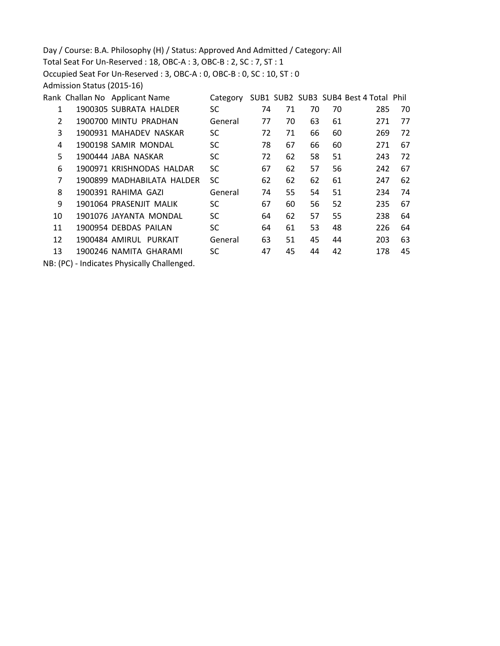Day / Course: B.A. Philosophy (H) / Status: Approved And Admitted / Category: All Total Seat For Un-Reserved : 18, OBC-A : 3, OBC-B : 2, SC : 7, ST : 1 Occupied Seat For Un-Reserved : 3, OBC-A : 0, OBC-B : 0, SC : 10, ST : 0 Admission Status (2015-16) Rank Challan No Applicant Name Category SUB1 SUB2 SUB3 SUB4 Best 4 Total Phil 1900305 SUBRATA HALDER SC 74 71 70 70 285 70 1900700 MINTU PRADHAN General 77 70 63 61 271 77 1900931 MAHADEV NASKAR SC 72 71 66 60 269 72 1900198 SAMIR MONDAL SC 78 67 66 60 271 67 1900444 JABA NASKAR SC 72 62 58 51 243 72 1900971 KRISHNODAS HALDAR SC 67 62 57 56 242 67 1900899 MADHABILATA HALDER SC 62 62 62 61 247 62

 1900391 RAHIMA GAZI General 74 55 54 51 234 74 1901064 PRASENJIT MALIK SC 67 60 56 52 235 67 1901076 JAYANTA MONDAL SC 64 62 57 55 238 64 1900954 DEBDAS PAILAN SC 64 61 53 48 226 64 1900484 AMIRUL PURKAIT General 63 51 45 44 203 63 1900246 NAMITA GHARAMI SC 47 45 44 42 178 45

NB: (PC) - Indicates Physically Challenged.